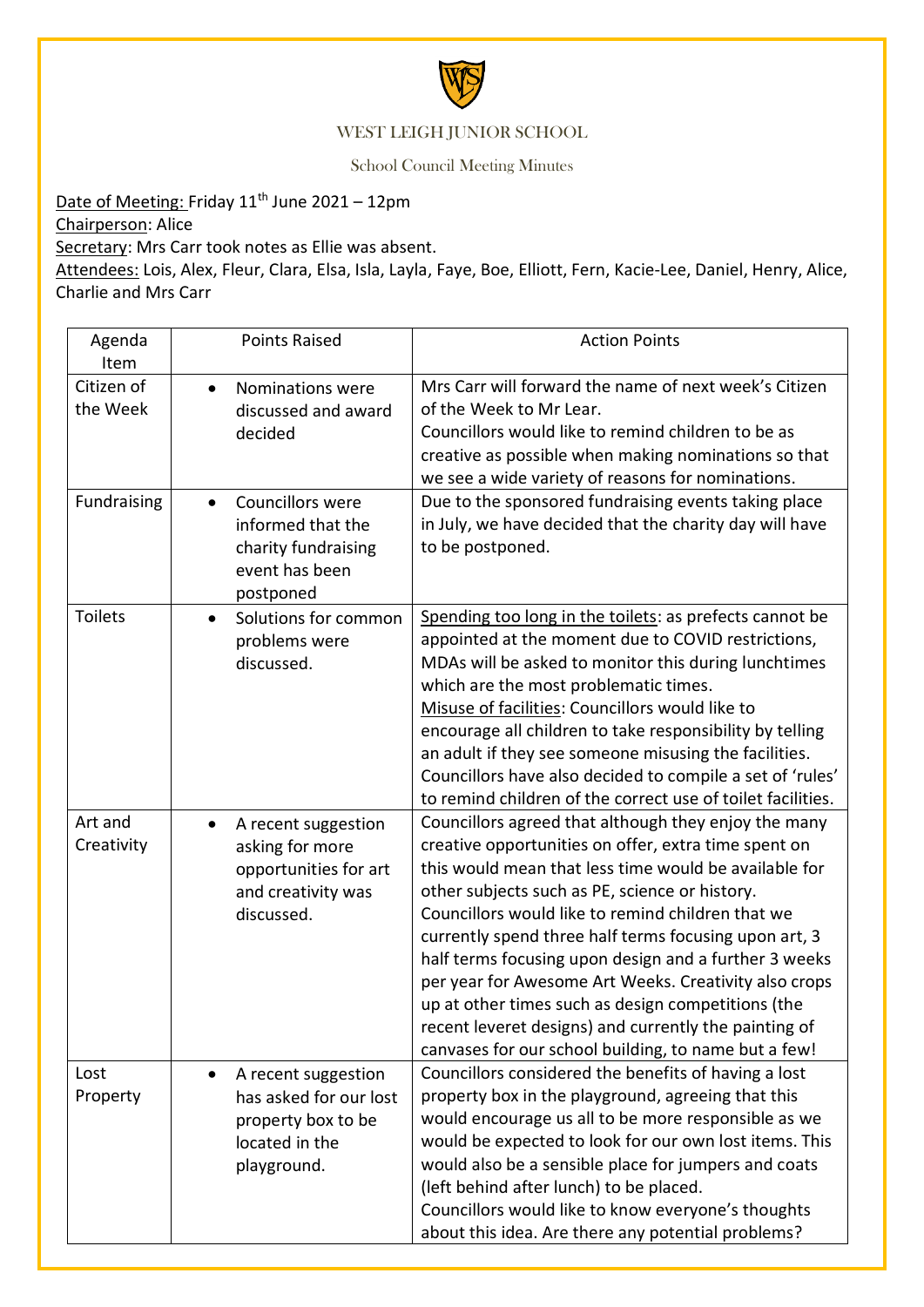

## WEST LEIGH JUNIOR SCHOOL

School Council Meeting Minutes

Date of Meeting: Friday 11<sup>th</sup> June 2021 - 12pm

Chairperson: Alice

Secretary: Mrs Carr took notes as Ellie was absent.

Attendees: Lois, Alex, Fleur, Clara, Elsa, Isla, Layla, Faye, Boe, Elliott, Fern, Kacie-Lee, Daniel, Henry, Alice, Charlie and Mrs Carr

| Agenda<br>Item         | <b>Points Raised</b>                                                                                              | <b>Action Points</b>                                                                                                                                                                                                                                                                                                                                                                                                                                                                                                                                                                                                           |
|------------------------|-------------------------------------------------------------------------------------------------------------------|--------------------------------------------------------------------------------------------------------------------------------------------------------------------------------------------------------------------------------------------------------------------------------------------------------------------------------------------------------------------------------------------------------------------------------------------------------------------------------------------------------------------------------------------------------------------------------------------------------------------------------|
| Citizen of<br>the Week | Nominations were<br>$\bullet$<br>discussed and award<br>decided                                                   | Mrs Carr will forward the name of next week's Citizen<br>of the Week to Mr Lear.<br>Councillors would like to remind children to be as<br>creative as possible when making nominations so that<br>we see a wide variety of reasons for nominations.                                                                                                                                                                                                                                                                                                                                                                            |
| Fundraising            | Councillors were<br>$\bullet$<br>informed that the<br>charity fundraising<br>event has been<br>postponed          | Due to the sponsored fundraising events taking place<br>in July, we have decided that the charity day will have<br>to be postponed.                                                                                                                                                                                                                                                                                                                                                                                                                                                                                            |
| <b>Toilets</b>         | Solutions for common<br>$\bullet$<br>problems were<br>discussed.                                                  | Spending too long in the toilets: as prefects cannot be<br>appointed at the moment due to COVID restrictions,<br>MDAs will be asked to monitor this during lunchtimes<br>which are the most problematic times.<br>Misuse of facilities: Councillors would like to<br>encourage all children to take responsibility by telling<br>an adult if they see someone misusing the facilities.<br>Councillors have also decided to compile a set of 'rules'<br>to remind children of the correct use of toilet facilities.                                                                                                             |
| Art and<br>Creativity  | A recent suggestion<br>$\bullet$<br>asking for more<br>opportunities for art<br>and creativity was<br>discussed.  | Councillors agreed that although they enjoy the many<br>creative opportunities on offer, extra time spent on<br>this would mean that less time would be available for<br>other subjects such as PE, science or history.<br>Councillors would like to remind children that we<br>currently spend three half terms focusing upon art, 3<br>half terms focusing upon design and a further 3 weeks<br>per year for Awesome Art Weeks. Creativity also crops<br>up at other times such as design competitions (the<br>recent leveret designs) and currently the painting of<br>canvases for our school building, to name but a few! |
| Lost<br>Property       | A recent suggestion<br>$\bullet$<br>has asked for our lost<br>property box to be<br>located in the<br>playground. | Councillors considered the benefits of having a lost<br>property box in the playground, agreeing that this<br>would encourage us all to be more responsible as we<br>would be expected to look for our own lost items. This<br>would also be a sensible place for jumpers and coats<br>(left behind after lunch) to be placed.<br>Councillors would like to know everyone's thoughts<br>about this idea. Are there any potential problems?                                                                                                                                                                                     |